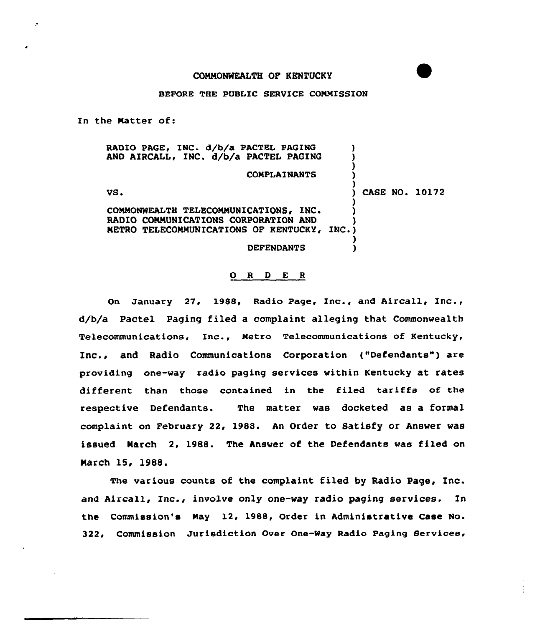## BEFORE THE PUBLIC SERVICE COMMISSION

In the Natter of:

RADIO PAGE, INC. d/b/a PACTEL PAGING AND AIRCALL, INC. d/b/a PACTEL PAGING ) ) ) **COMPLAINANTS** )  $V$ S.  $V$ S.  $V$  CASE NO. 10172 ) COMMONWEALTH TELECOMMUNICATIONS, INC. RADIO COMMUNICATIONS CORPORATION AND METRO TELECOMMUNICATIONS OF KENTUCKY, INC.) ) **DEFENDANTS** 

## O R D E R

On January 27, 1988, Radio Page, Inc., and Aircal1, Inc., d/b/a Pactel Paging filed a complaint alleging that Commonwealth Telecommunications, Inc., Netro Telecommunications of Kentucky, Inc., and Radio Communications Corporation ("Defendants") are providing one-way radio paging services within Kentucky at rates different than those contained in the filed tariffs of the respective Defendants. The matter was docketed as a formal complaint on February 22, 1988. An Order to Satisfy or Answer was issued March 2, 1988. The Answer of the Defendants was filed on March 15, 1988.

The various counts of the complaint filed by Radio Page, Inc. and Aircall, Inc., involve only one-way radio paging services. In the Commission's May 12, 1988, Order in Administrative Case No. 322, Commission Jurisdiction Over One-Way Radio Paging Services,